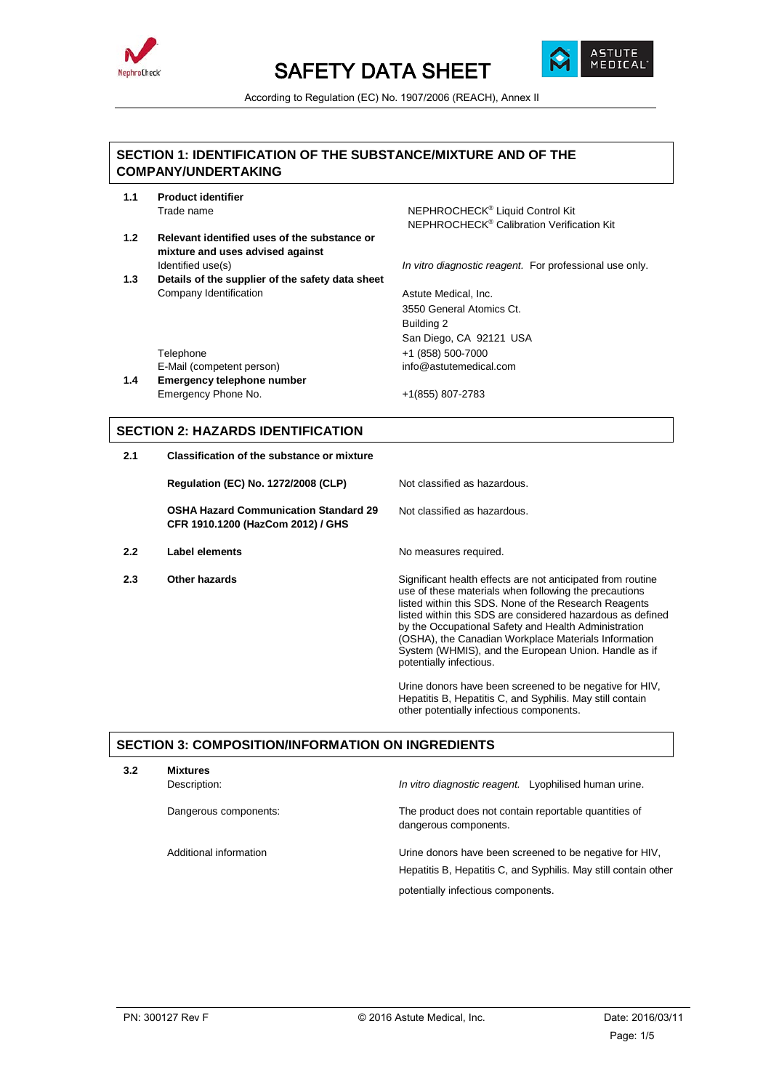



According to Regulation (EC) No. 1907/2006 (REACH), Annex II

# **SECTION 1: IDENTIFICATION OF THE SUBSTANCE/MIXTURE AND OF THE COMPANY/UNDERTAKING**

- **1.1 Product identifier** Trade name **NEPHROCHECK<sup>®</sup> Liquid Control Kit**
- **1.2 Relevant identified uses of the substance or mixture and uses advised against**
- **1.3 Details of the supplier of the safety data sheet** Company Identification **Astute Medical, Inc.**

NEPHROCHECK® Calibration Verification Kit

Identified use(s) *In vitro diagnostic reagent.* For professional use only.

3550 General Atomics Ct. Building 2 San Diego, CA 92121 USA Telephone +1 (858) 500-7000

E-Mail (competent person) info@astutemedical.com **1.4 Emergency telephone number** Emergency Phone No. +1(855) 807-2783

# **SECTION 2: HAZARDS IDENTIFICATION**

**2.1 Classification of the substance or mixture**

**Regulation (EC) No. 1272/2008 (CLP)** Not classified as hazardous.

**OSHA Hazard Communication Standard 29 CFR 1910.1200 (HazCom 2012) / GHS**

- **2.2 Label elements No measures required.**
- 

Not classified as hazardous.

**2.3 Other hazards Current Exercise Significant health effects are not anticipated from routine** use of these materials when following the precautions listed within this SDS. None of the Research Reagents listed within this SDS are considered hazardous as defined by the Occupational Safety and Health Administration (OSHA), the Canadian Workplace Materials Information System (WHMIS), and the European Union. Handle as if potentially infectious.

> Urine donors have been screened to be negative for HIV, Hepatitis B, Hepatitis C, and Syphilis. May still contain other potentially infectious components.

# **SECTION 3: COMPOSITION/INFORMATION ON INGREDIENTS**

| 3.2 | <b>Mixtures</b>        |                                                                                                                            |  |
|-----|------------------------|----------------------------------------------------------------------------------------------------------------------------|--|
|     | Description:           | In vitro diagnostic reagent. Lyophilised human urine.                                                                      |  |
|     | Dangerous components:  | The product does not contain reportable quantities of<br>dangerous components.                                             |  |
|     | Additional information | Urine donors have been screened to be negative for HIV,<br>Hepatitis B, Hepatitis C, and Syphilis. May still contain other |  |
|     |                        | potentially infectious components                                                                                          |  |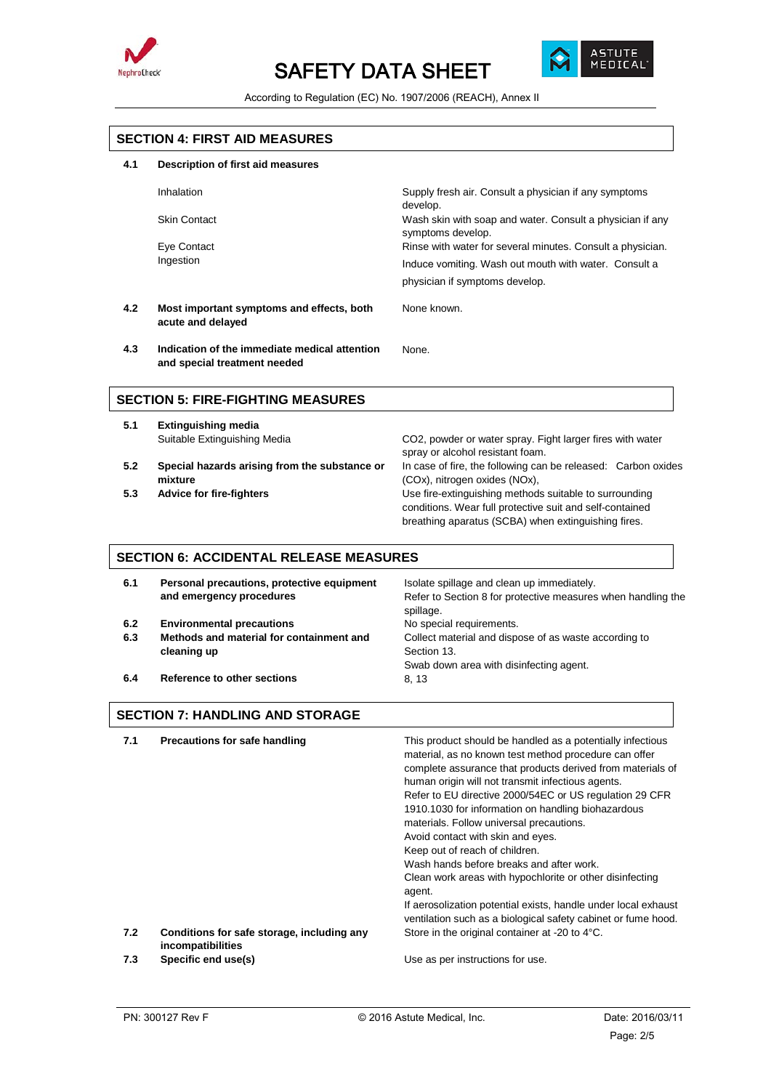



According to Regulation (EC) No. 1907/2006 (REACH), Annex II

## **SECTION 4: FIRST AID MEASURES**

## **4.1 Description of first aid measures**

| Inhalation          | Supply fresh air. Consult a physician if any symptoms<br>develop.                       |
|---------------------|-----------------------------------------------------------------------------------------|
| <b>Skin Contact</b> | Wash skin with soap and water. Consult a physician if any<br>symptoms develop.          |
| Eye Contact         | Rinse with water for several minutes. Consult a physician.                              |
| Ingestion           | Induce vomiting. Wash out mouth with water. Consult a<br>physician if symptoms develop. |

None.

**4.2 Most important symptoms and effects, both acute and delayed**

None known.

**4.3 Indication of the immediate medical attention and special treatment needed**

## **SECTION 5: FIRE-FIGHTING MEASURES**

- **5.1 Extinguishing media** Suitable Extinguishing Media CO2, powder or water spray. Fight larger fires with water
- **5.2 Special hazards arising from the substance or mixture**
- 

spray or alcohol resistant foam. In case of fire, the following can be released: Carbon oxides (COx), nitrogen oxides (NOx), **5.3 Advice for fire-fighters** Use fire-extinguishing methods suitable to surrounding conditions. Wear full protective suit and self-contained

breathing aparatus (SCBA) when extinguishing fires.

## **SECTION 6: ACCIDENTAL RELEASE MEASURES**

| Personal precautions, protective equipment<br>and emergency procedures | Isolate spillage and clean up immediately.<br>Refer to Section 8 for protective measures when handling the<br>spillage. |
|------------------------------------------------------------------------|-------------------------------------------------------------------------------------------------------------------------|
| <b>Environmental precautions</b>                                       | No special requirements.                                                                                                |
| Methods and material for containment and                               | Collect material and dispose of as waste according to                                                                   |
| cleaning up                                                            | Section 13.                                                                                                             |
|                                                                        | Swab down area with disinfecting agent.                                                                                 |
| Reference to other sections                                            | 8, 13                                                                                                                   |
|                                                                        |                                                                                                                         |

# **SECTION 7: HANDLING AND STORAGE**

| 7.1 | Precautions for safe handling                                   | This product should be handled as a potentially infectious<br>material, as no known test method procedure can offer<br>complete assurance that products derived from materials of<br>human origin will not transmit infectious agents.<br>Refer to EU directive 2000/54EC or US regulation 29 CFR<br>1910.1030 for information on handling biohazardous<br>materials. Follow universal precautions.<br>Avoid contact with skin and eyes.<br>Keep out of reach of children.<br>Wash hands before breaks and after work.<br>Clean work areas with hypochlorite or other disinfecting<br>agent.<br>If aerosolization potential exists, handle under local exhaust<br>ventilation such as a biological safety cabinet or fume hood. |
|-----|-----------------------------------------------------------------|---------------------------------------------------------------------------------------------------------------------------------------------------------------------------------------------------------------------------------------------------------------------------------------------------------------------------------------------------------------------------------------------------------------------------------------------------------------------------------------------------------------------------------------------------------------------------------------------------------------------------------------------------------------------------------------------------------------------------------|
| 7.2 | Conditions for safe storage, including any<br>incompatibilities | Store in the original container at -20 to 4°C.                                                                                                                                                                                                                                                                                                                                                                                                                                                                                                                                                                                                                                                                                  |
| 7.3 | Specific end use(s)                                             | Use as per instructions for use.                                                                                                                                                                                                                                                                                                                                                                                                                                                                                                                                                                                                                                                                                                |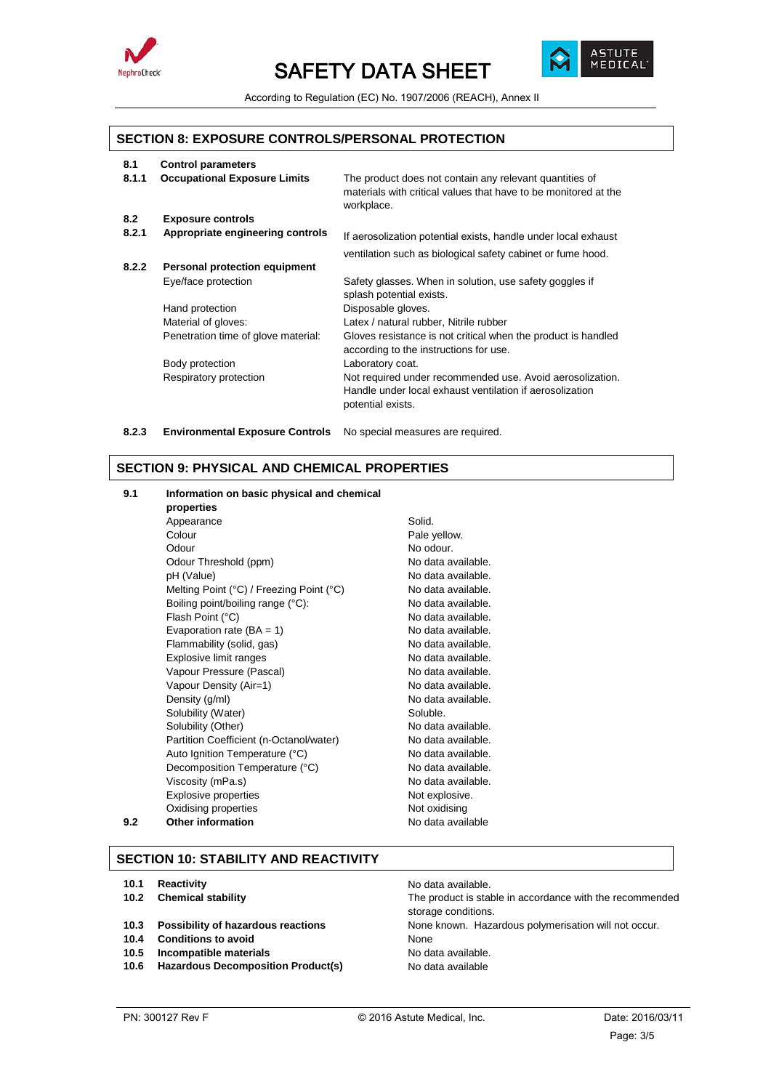



According to Regulation (EC) No. 1907/2006 (REACH), Annex II

## **SECTION 8: EXPOSURE CONTROLS/PERSONAL PROTECTION**

| <b>Control parameters</b>            |                                                                                                                                            |
|--------------------------------------|--------------------------------------------------------------------------------------------------------------------------------------------|
| <b>Occupational Exposure Limits</b>  | The product does not contain any relevant quantities of<br>materials with critical values that have to be monitored at the<br>workplace.   |
| <b>Exposure controls</b>             |                                                                                                                                            |
| Appropriate engineering controls     | If aerosolization potential exists, handle under local exhaust                                                                             |
|                                      | ventilation such as biological safety cabinet or fume hood.                                                                                |
| <b>Personal protection equipment</b> |                                                                                                                                            |
| Eye/face protection                  | Safety glasses. When in solution, use safety goggles if<br>splash potential exists.                                                        |
| Hand protection                      | Disposable gloves.                                                                                                                         |
| Material of gloves:                  | Latex / natural rubber, Nitrile rubber                                                                                                     |
| Penetration time of glove material:  | Gloves resistance is not critical when the product is handled<br>according to the instructions for use.                                    |
| Body protection                      | Laboratory coat.                                                                                                                           |
| Respiratory protection               | Not required under recommended use. Avoid aerosolization.<br>Handle under local exhaust ventilation if aerosolization<br>potential exists. |
|                                      |                                                                                                                                            |

**8.2.3 Environmental Exposure Controls** No special measures are required.

## **SECTION 9: PHYSICAL AND CHEMICAL PROPERTIES**

## **9.1 Information on basic physical and chemical properties** Appearance Solid. Colour **Pale yellow.** Odour No odour. Odour Threshold (ppm) No data available.<br>
pH (Value) No data available. No data available.<br>No data available. Melting Point (°C) / Freezing Point (°C) Boiling point/boiling range (°C): No data available. Flash Point (°C) <br>
Evaporation rate (BA = 1) No data available. Evaporation rate (BA = 1) No data available.<br>
Flammability (solid. qas) No data available. Flammability (solid, gas) No data available.<br>Explosive limit ranges No data available. Explosive limit ranges Vapour Pressure (Pascal) Vapour Pressure (Pascal) Vapour Density (Air=1) No data available. Density (g/ml) No data available. Solubility (Water) Soluble. Solubility (Other) No data available. Partition Coefficient (n-Octanol/water) No data available. Auto Ignition Temperature (°C) No data available. Decomposition Temperature (°C) No data available. Viscosity (mPa.s) No data available. Explosive properties Not explosive. Oxidising properties Not oxidising **9.2 Other information 19.2 No data available**

# **SECTION 10: STABILITY AND REACTIVITY**

- **10.1 Reactivity 10.1 Reactivity 10.1 Reactivity**
- 
- 
- **10.4 Conditions to avoid** None
- **10.5 Incompatible materials 10.5 Incompatible materials**
- **10.6 Hazardous Decomposition Product(s)** No data available

**10.2 Chemical stability** The product is stable in accordance with the recommended storage conditions. **10.3 Possibility of hazardous reactions** None known. Hazardous polymerisation will not occur.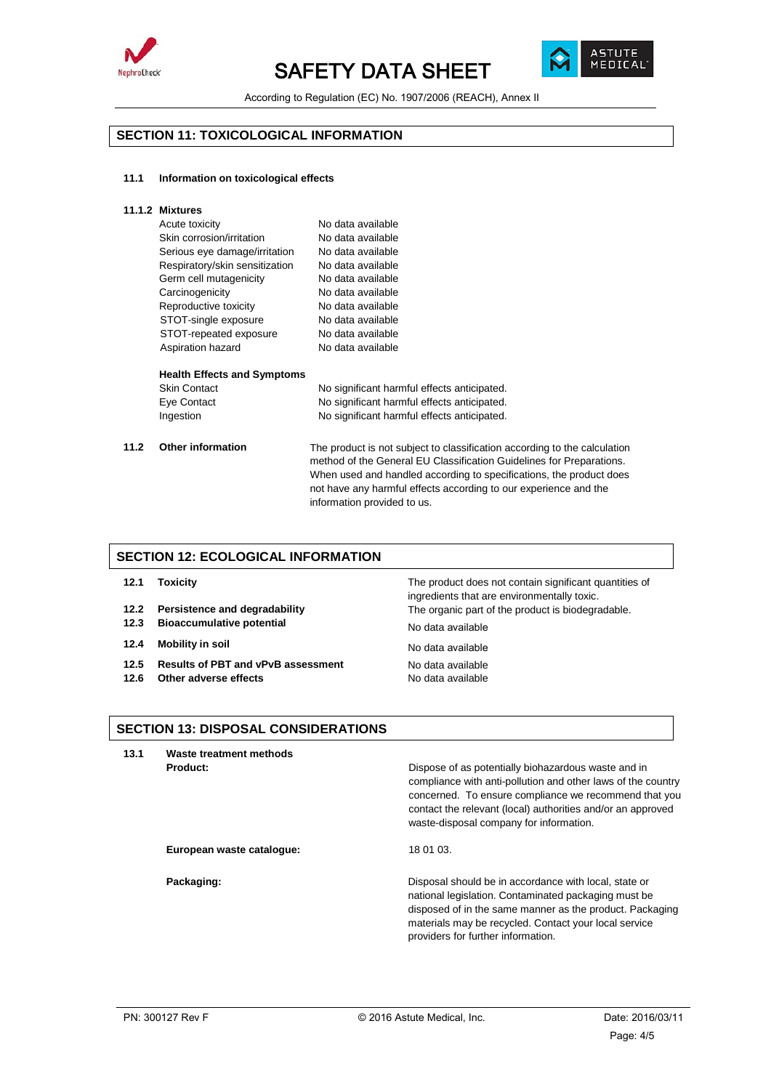



According to Regulation (EC) No. 1907/2006 (REACH), Annex II

# **SECTION 11: TOXICOLOGICAL INFORMATION**

#### **11.1 Information on toxicological effects**

| Acute toxicity                 | No data available |
|--------------------------------|-------------------|
| Skin corrosion/irritation      | No data available |
| Serious eye damage/irritation  | No data available |
| Respiratory/skin sensitization | No data available |
| Germ cell mutagenicity         | No data available |
| Carcinogenicity                | No data available |
| Reproductive toxicity          | No data available |
| STOT-single exposure           | No data available |
| STOT-repeated exposure         | No data available |
| Aspiration hazard              | No data available |
|                                |                   |

### **Health Effects and Symptoms**

|      | <b>Skin Contact</b>      | No significant harmful effects anticipated.                                                                                                                                                                                                                                                                                 |
|------|--------------------------|-----------------------------------------------------------------------------------------------------------------------------------------------------------------------------------------------------------------------------------------------------------------------------------------------------------------------------|
|      | Eye Contact              | No significant harmful effects anticipated.                                                                                                                                                                                                                                                                                 |
|      | Ingestion                | No significant harmful effects anticipated.                                                                                                                                                                                                                                                                                 |
| 11.2 | <b>Other information</b> | The product is not subject to classification according to the calculation<br>method of the General EU Classification Guidelines for Preparations.<br>When used and handled according to specifications, the product does<br>not have any harmful effects according to our experience and the<br>information provided to us. |

# **SECTION 12: ECOLOGICAL INFORMATION**

- 
- 
- **12.3 Bioaccumulative potential** No data available
- **12.4 Mobility in soil No data available**
- **12.5 Results of PBT and vPvB assessment** No data available
- **12.6 Other adverse effects** No data available

**12.1 Toxicity** The product does not contain significant quantities of ingredients that are environmentally toxic. **12.2 Persistence and degradability** The organic part of the product is biodegradable.

# **SECTION 13: DISPOSAL CONSIDERATIONS**

**13.1 Waste treatment methods Product: Product: Product: Product: Dispose of as potentially biohazardous waste and in** compliance with anti-pollution and other laws of the country concerned. To ensure compliance we recommend that you contact the relevant (local) authorities and/or an approved waste-disposal company for information.

**European waste catalogue:** 18 01 03.

**Packaging: Packaging: Packaging: Disposal should be in accordance with local, state or** national legislation. Contaminated packaging must be disposed of in the same manner as the product. Packaging materials may be recycled. Contact your local service providers for further information.